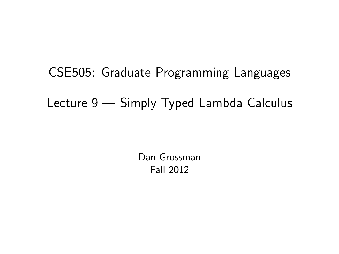# CSE505: Graduate Programming Languages Lecture 9 — Simply Typed Lambda Calculus

<span id="page-0-0"></span>Dan Grossman Fall 2012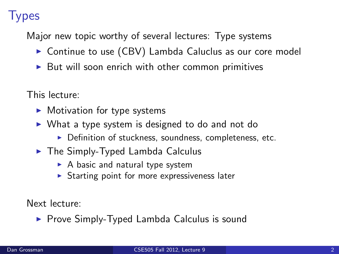## **Types**

Major new topic worthy of several lectures: Type systems

- $\triangleright$  Continue to use (CBV) Lambda Caluclus as our core model
- $\triangleright$  But will soon enrich with other common primitives

This lecture:

- $\blacktriangleright$  Motivation for type systems
- $\triangleright$  What a type system is designed to do and not do
	- $\triangleright$  Definition of stuckness, soundness, completeness, etc.
- $\blacktriangleright$  The Simply-Typed Lambda Calculus
	- $\triangleright$  A basic and natural type system
	- $\triangleright$  Starting point for more expressiveness later

Next lecture:

▶ Prove Simply-Typed Lambda Calculus is sound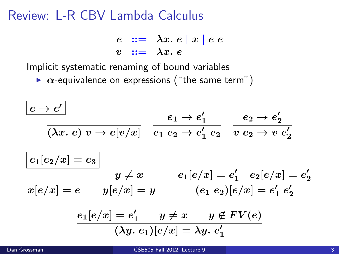#### Review: L-R CBV Lambda Calculus

$$
\begin{array}{rcl}\ne & ::= & \lambda x. e \mid x \mid e \ e \\
v & ::= & \lambda x. e\n\end{array}
$$

Implicit systematic renaming of bound variables

 $\triangleright$   $\alpha$ -equivalence on expressions ("the same term")

$$
\frac{e \to e'}{(\lambda x. e) v \to e[v/x]} \quad \frac{e_1 \to e'_1}{e_1 e_2 \to e'_1 e_2} \quad \frac{e_2 \to e'_2}{v e_2 \to v e'_2}
$$
\n
$$
\frac{e_1[e_2/x] = e_3}{x[e/x] = e} \quad \frac{y \neq x}{y[e/x] = y} \quad \frac{e_1[e/x] = e'_1}{(e_1 e_2)[e/x] = e'_1 e'_2}
$$
\n
$$
\frac{e_1[e/x] = e'_1}{(\lambda y. e_1)[e/x] = \lambda y. e'_1}
$$
\n
$$
\frac{e_1[e/x] = e'_1}{(\lambda y. e_1)[e/x] = \lambda y. e'_1}
$$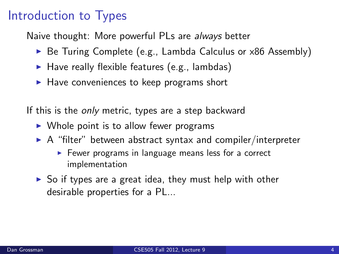## Introduction to Types

Naive thought: More powerful PLs are always better

- $\triangleright$  Be Turing Complete (e.g., Lambda Calculus or  $\times 86$  Assembly)
- $\blacktriangleright$  Have really flexible features (e.g., lambdas)
- $\blacktriangleright$  Have conveniences to keep programs short

If this is the *only* metric, types are a step backward

- $\triangleright$  Whole point is to allow fewer programs
- $\triangleright$  A "filter" between abstract syntax and compiler/interpreter
	- $\triangleright$  Fewer programs in language means less for a correct implementation
- $\triangleright$  So if types are a great idea, they must help with other desirable properties for a PL...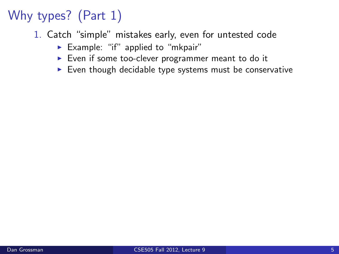- 1. Catch "simple" mistakes early, even for untested code
	- Example: "if" applied to "mkpair"
	- $\triangleright$  Even if some too-clever programmer meant to do it
	- $\blacktriangleright$  Even though decidable type systems must be conservative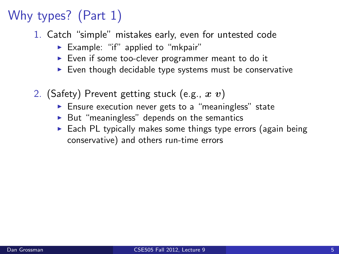- 1. Catch "simple" mistakes early, even for untested code
	- Example: "if" applied to "mkpair"
	- $\triangleright$  Even if some too-clever programmer meant to do it
	- $\blacktriangleright$  Even though decidable type systems must be conservative
- 2. (Safety) Prevent getting stuck (e.g.,  $x v$ )
	- $\blacktriangleright$  Ensure execution never gets to a "meaningless" state
	- $\triangleright$  But "meaningless" depends on the semantics
	- $\triangleright$  Each PL typically makes some things type errors (again being conservative) and others run-time errors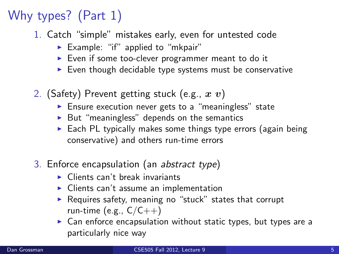- 1. Catch "simple" mistakes early, even for untested code
	- Example: "if" applied to "mkpair"
	- $\triangleright$  Even if some too-clever programmer meant to do it
	- $\blacktriangleright$  Even though decidable type systems must be conservative
- 2. (Safety) Prevent getting stuck (e.g.,  $x v$ )
	- $\blacktriangleright$  Ensure execution never gets to a "meaningless" state
	- $\triangleright$  But "meaningless" depends on the semantics
	- $\triangleright$  Each PL typically makes some things type errors (again being conservative) and others run-time errors
- 3. Enforce encapsulation (an abstract type)
	- $\blacktriangleright$  Clients can't break invariants
	- $\triangleright$  Clients can't assume an implementation
	- $\triangleright$  Requires safety, meaning no "stuck" states that corrupt run-time (e.g.,  $C/C++$ )
	- $\triangleright$  Can enforce encapsulation without static types, but types are a particularly nice way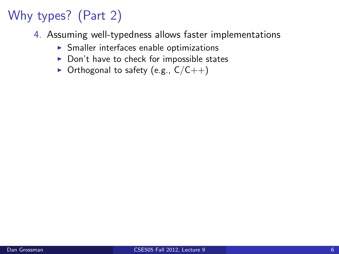- 4. Assuming well-typedness allows faster implementations
	- $\blacktriangleright$  Smaller interfaces enable optimizations
	- $\triangleright$  Don't have to check for impossible states
	- $\triangleright$  Orthogonal to safety (e.g.,  $C/C++$ )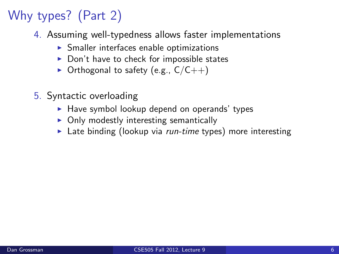- 4. Assuming well-typedness allows faster implementations
	- $\triangleright$  Smaller interfaces enable optimizations
	- $\triangleright$  Don't have to check for impossible states
	- $\triangleright$  Orthogonal to safety (e.g.,  $C/C++$ )
- 5. Syntactic overloading
	- $\blacktriangleright$  Have symbol lookup depend on operands' types
	- $\triangleright$  Only modestly interesting semantically
	- $\blacktriangleright$  Late binding (lookup via *run-time* types) more interesting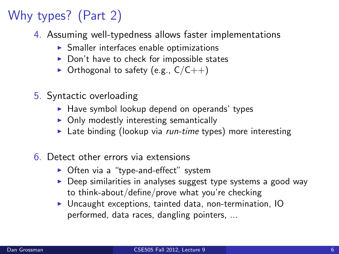- 4. Assuming well-typedness allows faster implementations
	- $\triangleright$  Smaller interfaces enable optimizations
	- $\triangleright$  Don't have to check for impossible states
	- $\triangleright$  Orthogonal to safety (e.g.,  $C/C++$ )
- 5. Syntactic overloading
	- $\blacktriangleright$  Have symbol lookup depend on operands' types
	- $\triangleright$  Only modestly interesting semantically
	- $\blacktriangleright$  Late binding (lookup via *run-time* types) more interesting
- 6. Detect other errors via extensions
	- $\triangleright$  Often via a "type-and-effect" system
	- $\triangleright$  Deep similarities in analyses suggest type systems a good way to think-about/define/prove what you're checking
	- $\triangleright$  Uncaught exceptions, tainted data, non-termination, IO performed, data races, dangling pointers, ...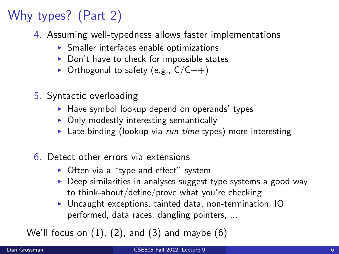- 4. Assuming well-typedness allows faster implementations
	- $\triangleright$  Smaller interfaces enable optimizations
	- $\triangleright$  Don't have to check for impossible states
	- $\triangleright$  Orthogonal to safety (e.g.,  $C/C++$ )
- 5. Syntactic overloading
	- $\blacktriangleright$  Have symbol lookup depend on operands' types
	- $\triangleright$  Only modestly interesting semantically
	- $\blacktriangleright$  Late binding (lookup via *run-time* types) more interesting
- 6. Detect other errors via extensions
	- $\triangleright$  Often via a "type-and-effect" system
	- $\triangleright$  Deep similarities in analyses suggest type systems a good way to think-about/define/prove what you're checking
	- $\triangleright$  Uncaught exceptions, tainted data, non-termination, IO performed, data races, dangling pointers, ...

We'll focus on  $(1)$ ,  $(2)$ , and  $(3)$  and maybe  $(6)$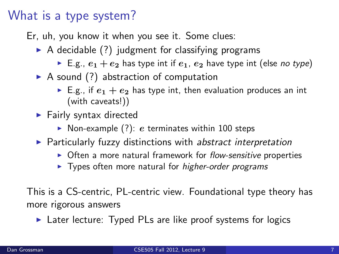#### What is a type system?

Er, uh, you know it when you see it. Some clues:

- $\triangleright$  A decidable (?) judgment for classifying programs
	- E.g.,  $e_1 + e_2$  has type int if  $e_1$ ,  $e_2$  have type int (else no type)
- $\triangleright$  A sound (?) abstraction of computation
	- E.g., if  $e_1 + e_2$  has type int, then evaluation produces an int (with caveats!))
- $\blacktriangleright$  Fairly syntax directed
	- $\triangleright$  Non-example (?): e terminates within 100 steps
- $\triangleright$  Particularly fuzzy distinctions with abstract interpretation
	- $\triangleright$  Often a more natural framework for flow-sensitive properties
	- $\triangleright$  Types often more natural for *higher-order programs*

This is a CS-centric, PL-centric view. Foundational type theory has more rigorous answers

 $\triangleright$  Later lecture: Typed PLs are like proof systems for logics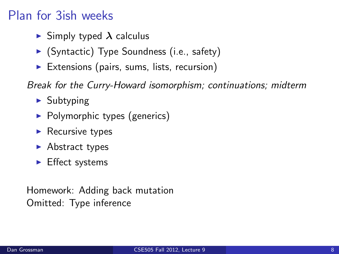## Plan for 3ish weeks

- $\blacktriangleright$  Simply typed  $\lambda$  calculus
- $\blacktriangleright$  (Syntactic) Type Soundness (i.e., safety)
- $\triangleright$  Extensions (pairs, sums, lists, recursion)

Break for the Curry-Howard isomorphism; continuations; midterm

- $\blacktriangleright$  Subtyping
- $\blacktriangleright$  Polymorphic types (generics)
- $\blacktriangleright$  Recursive types
- $\blacktriangleright$  Abstract types
- $\blacktriangleright$  Effect systems

Homework: Adding back mutation Omitted: Type inference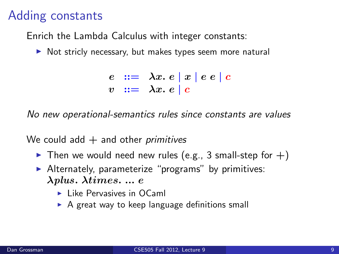#### Adding constants

Enrich the Lambda Calculus with integer constants:

 $\triangleright$  Not stricly necessary, but makes types seem more natural

 $e := \lambda x. e |x| e e |c$  $v := \lambda x. e c$ 

No new operational-semantics rules since constants are values

We could add  $+$  and other *primitives* 

- $\blacktriangleright$  Then we would need new rules (e.g., 3 small-step for  $+)$
- $\blacktriangleright$  Alternately, parameterize "programs" by primitives: λplus. λtimes. ... e
	- $\blacktriangleright$  Like Pervasives in OCaml
	- $\triangleright$  A great way to keep language definitions small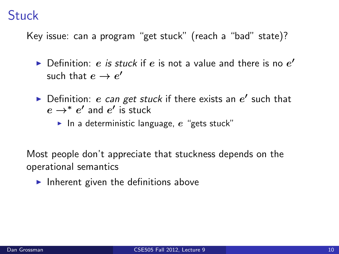#### Stuck

Key issue: can a program "get stuck" (reach a "bad" state)?

- $\blacktriangleright$  Definition: e is stuck if e is not a value and there is no  $e'$ such that  $e \to e'$
- Definition: e can get stuck if there exists an  $e'$  such that  $e \rightarrow^* e'$  and  $e'$  is stuck
	- In a deterministic language,  $e$  "gets stuck"

Most people don't appreciate that stuckness depends on the operational semantics

Inherent given the definitions above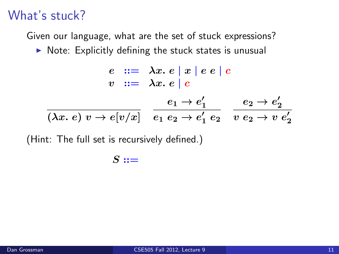#### What's stuck?

Given our language, what are the set of stuck expressions?

 $\triangleright$  Note: Explicitly defining the stuck states is unusual

$$
e ::= \lambda x. e \mid x \mid e e \mid c
$$
  
\n
$$
v ::= \lambda x. e \mid c
$$
  
\n
$$
\overline{(\lambda x. e) v \rightarrow e[v/x]} = \frac{e_1 \rightarrow e'_1}{e_1 e_2 \rightarrow e'_1 e_2} = \frac{e_2 \rightarrow e'_2}{v e_2 \rightarrow v e'_2}
$$

(Hint: The full set is recursively defined.)

$$
S ::=
$$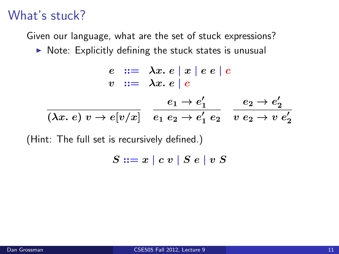#### What's stuck?

Given our language, what are the set of stuck expressions?

 $\triangleright$  Note: Explicitly defining the stuck states is unusual

$$
e ::= \lambda x. e \mid x \mid e e \mid c
$$
  
\n
$$
v ::= \lambda x. e \mid c
$$
  
\n
$$
\overline{(\lambda x. e) v \rightarrow e[v/x]} = \frac{e_1 \rightarrow e'_1}{e_1 e_2 \rightarrow e'_1 e_2} = \frac{e_2 \rightarrow e'_2}{v e_2 \rightarrow v e'_2}
$$

(Hint: The full set is recursively defined.)

$$
S ::= x \mid c v \mid S e \mid v S
$$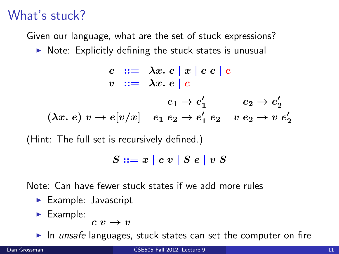#### What's stuck?

Given our language, what are the set of stuck expressions?

 $\triangleright$  Note: Explicitly defining the stuck states is unusual

$$
e ::= \lambda x. e \mid x \mid e e \mid c
$$
  
\n
$$
v ::= \lambda x. e \mid c
$$
  
\n
$$
e_1 \rightarrow e'_1
$$
  
\n
$$
\overline{(\lambda x. e) v \rightarrow e[v/x]}
$$
  
\n
$$
\overline{e_1 e_2 \rightarrow e'_1 e_2}
$$
  
\n
$$
\overline{v e_2 \rightarrow v e'_2}
$$

(Hint: The full set is recursively defined.)

$$
S ::= x \mid c v \mid S e \mid v S
$$

Note: Can have fewer stuck states if we add more rules

- $\blacktriangleright$  Example: Javascript
- $\blacktriangleright$  Example:  $c v \rightarrow v$

In unsafe languages, stuck states can set the computer on fire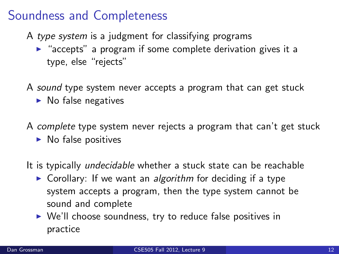### Soundness and Completeness

- A type system is a judgment for classifying programs
	- $\triangleright$  "accepts" a program if some complete derivation gives it a type, else "rejects"
- A sound type system never accepts a program that can get stuck
	- $\blacktriangleright$  No false negatives
- A complete type system never rejects a program that can't get stuck
	- $\blacktriangleright$  No false positives
- It is typically *undecidable* whether a stuck state can be reachable
	- $\triangleright$  Corollary: If we want an algorithm for deciding if a type system accepts a program, then the type system cannot be sound and complete
	- ▶ We'll choose soundness, try to reduce false positives in practice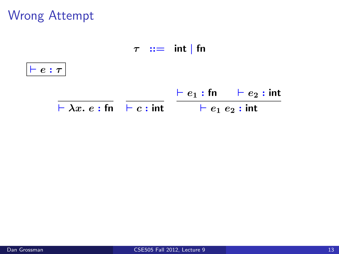Wrong Attempt

 $\tau$  ::= int | fn

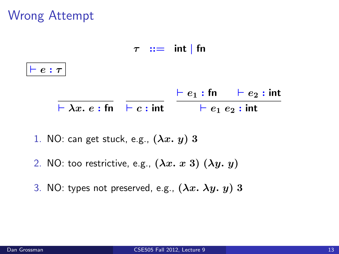## Wrong Attempt

 $\tau$  :  $=$  int | fn



- 1. NO: can get stuck, e.g.,  $(\lambda x. y)$  3
- 2. NO: too restrictive, e.g.,  $(\lambda x. x 3) (\lambda y. y)$
- 3. NO: types not preserved, e.g.,  $(\lambda x. \lambda y. y)$  3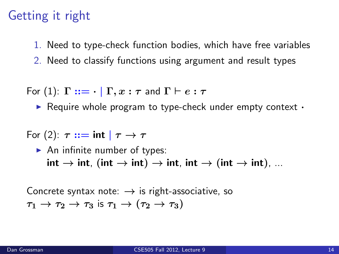## Getting it right

1. Need to type-check function bodies, which have free variables

2. Need to classify functions using argument and result types

For (1):  $\Gamma ::= \cdot | \Gamma, x : \tau$  and  $\Gamma \vdash e : \tau$ 

 $\triangleright$  Require whole program to type-check under empty context  $\cdot$ 

For (2):  $\tau ::= \text{int} | \tau \rightarrow \tau$ 

 $\blacktriangleright$  An infinite number of types:  $\mathsf{int} \to \mathsf{int}$ ,  $(\mathsf{int} \to \mathsf{int}) \to \mathsf{int}$ ,  $\mathsf{int} \to (\mathsf{int} \to \mathsf{int})$ , ...

Concrete syntax note:  $\rightarrow$  is right-associative, so  $\tau_1 \rightarrow \tau_2 \rightarrow \tau_3$  is  $\tau_1 \rightarrow (\tau_2 \rightarrow \tau_3)$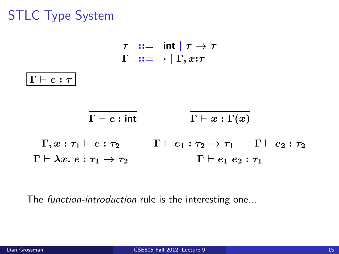## STLC Type System



The *function-introduction* rule is the interesting one...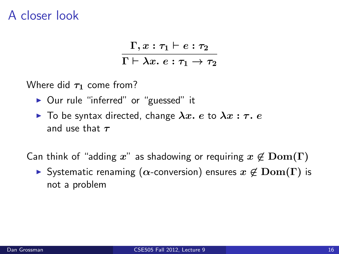#### A closer look

$$
\frac{\Gamma, x : \tau_1 \vdash e : \tau_2}{\Gamma \vdash \lambda x. \ e : \tau_1 \rightarrow \tau_2}
$$

Where did  $\tau_1$  come from?

- ▶ Our rule "inferred" or "guessed" it
- $\blacktriangleright$  To be syntax directed, change  $\lambda x. e$  to  $\lambda x : \tau. e$ and use that  $\tau$

Can think of "adding x" as shadowing or requiring  $x \notin \text{Dom}(\Gamma)$ 

 $\triangleright$  Systematic renaming ( $\alpha$ -conversion) ensures  $x \notin \text{Dom}(\Gamma)$  is not a problem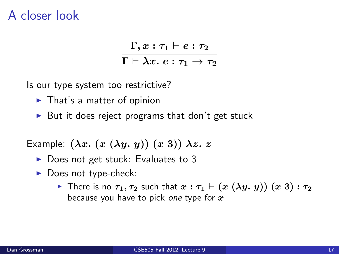#### A closer look

$$
\frac{\Gamma, x : \tau_1 \vdash e : \tau_2}{\Gamma \vdash \lambda x. e : \tau_1 \rightarrow \tau_2}
$$

Is our type system too restrictive?

- $\blacktriangleright$  That's a matter of opinion
- $\triangleright$  But it does reject programs that don't get stuck

Example:  $(\lambda x. (x (\lambda y. y)) (x 3)) \lambda z. z$ 

- $\triangleright$  Does not get stuck: Evaluates to 3
- $\blacktriangleright$  Does not type-check:
	- **Fi** There is no  $\tau_1, \tau_2$  such that  $x : \tau_1 \vdash (x (\lambda y. y)) (x 3) : \tau_2$ because you have to pick one type for  $x$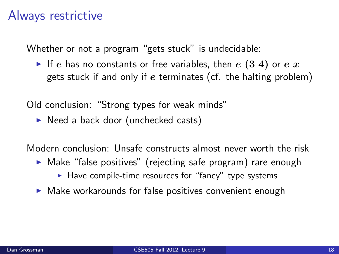#### Always restrictive

Whether or not a program "gets stuck" is undecidable:

If e has no constants or free variables, then  $e(3 4)$  or  $e(x)$ gets stuck if and only if  $e$  terminates (cf. the halting problem)

Old conclusion: "Strong types for weak minds"

 $\triangleright$  Need a back door (unchecked casts)

Modern conclusion: Unsafe constructs almost never worth the risk

- $\triangleright$  Make "false positives" (rejecting safe program) rare enough
	- $\blacktriangleright$  Have compile-time resources for "fancy" type systems
- $\triangleright$  Make workarounds for false positives convenient enough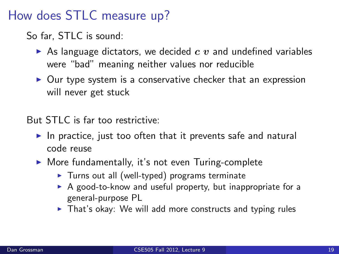## How does STLC measure up?

So far, STLC is sound:

- As language dictators, we decided  $c$  v and undefined variables were "bad" meaning neither values nor reducible
- $\triangleright$  Our type system is a conservative checker that an expression will never get stuck

But STLC is far too restrictive:

- In practice, just too often that it prevents safe and natural code reuse
- $\triangleright$  More fundamentally, it's not even Turing-complete
	- $\triangleright$  Turns out all (well-typed) programs terminate
	- $\triangleright$  A good-to-know and useful property, but inappropriate for a general-purpose PL
	- $\triangleright$  That's okay: We will add more constructs and typing rules